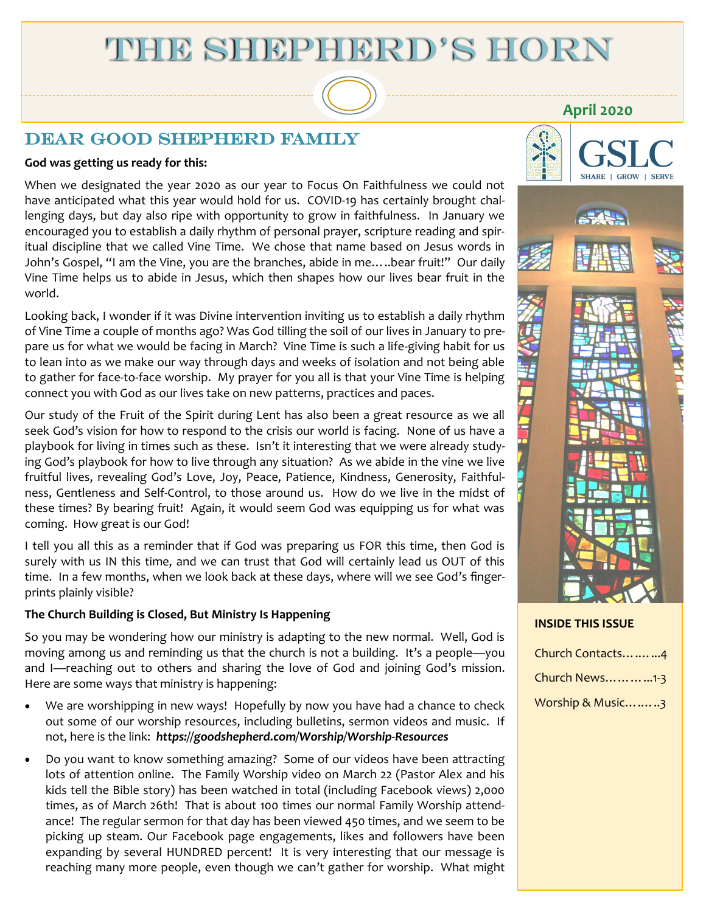# THE SHEPHERD'S HORN

### DEAR GOOD SHEPHERD FAMILY

#### **God was getting us ready for this:**

When we designated the year 2020 as our year to Focus On Faithfulness we could not have anticipated what this year would hold for us. COVID-19 has certainly brought challenging days, but day also ripe with opportunity to grow in faithfulness. In January we encouraged you to establish a daily rhythm of personal prayer, scripture reading and spiritual discipline that we called Vine Time. We chose that name based on Jesus words in John's Gospel, "I am the Vine, you are the branches, abide in me…..bear fruit!" Our daily Vine Time helps us to abide in Jesus, which then shapes how our lives bear fruit in the world.

Looking back, I wonder if it was Divine intervention inviting us to establish a daily rhythm of Vine Time a couple of months ago? Was God tilling the soil of our lives in January to prepare us for what we would be facing in March? Vine Time is such a life-giving habit for us to lean into as we make our way through days and weeks of isolation and not being able to gather for face-to-face worship. My prayer for you all is that your Vine Time is helping connect you with God as our lives take on new patterns, practices and paces.

Our study of the Fruit of the Spirit during Lent has also been a great resource as we all seek God's vision for how to respond to the crisis our world is facing. None of us have a playbook for living in times such as these. Isn't it interesting that we were already studying God's playbook for how to live through any situation? As we abide in the vine we live fruitful lives, revealing God's Love, Joy, Peace, Patience, Kindness, Generosity, Faithfulness, Gentleness and Self-Control, to those around us. How do we live in the midst of these times? By bearing fruit! Again, it would seem God was equipping us for what was coming. How great is our God!

I tell you all this as a reminder that if God was preparing us FOR this time, then God is surely with us IN this time, and we can trust that God will certainly lead us OUT of this time. In a few months, when we look back at these days, where will we see God's fingerprints plainly visible?

#### **The Church Building is Closed, But Ministry Is Happening**

So you may be wondering how our ministry is adapting to the new normal. Well, God is moving among us and reminding us that the church is not a building. It's a people—you and I—reaching out to others and sharing the love of God and joining God's mission. Here are some ways that ministry is happening:

- We are worshipping in new ways! Hopefully by now you have had a chance to check out some of our worship resources, including bulletins, sermon videos and music. If not, here is the link: *https://goodshepherd.com/Worship/Worship-Resources*
- Do you want to know something amazing? Some of our videos have been attracting lots of attention online. The Family Worship video on March 22 (Pastor Alex and his kids tell the Bible story) has been watched in total (including Facebook views) 2,000 times, as of March 26th! That is about 100 times our normal Family Worship attendance! The regular sermon for that day has been viewed 450 times, and we seem to be picking up steam. Our Facebook page engagements, likes and followers have been expanding by several HUNDRED percent! It is very interesting that our message is reaching many more people, even though we can't gather for worship. What might



**April 2020**



#### **INSIDE THIS ISSUE**

| Church Contacts4 |
|------------------|
| Church News1-3   |
| Worship & Music3 |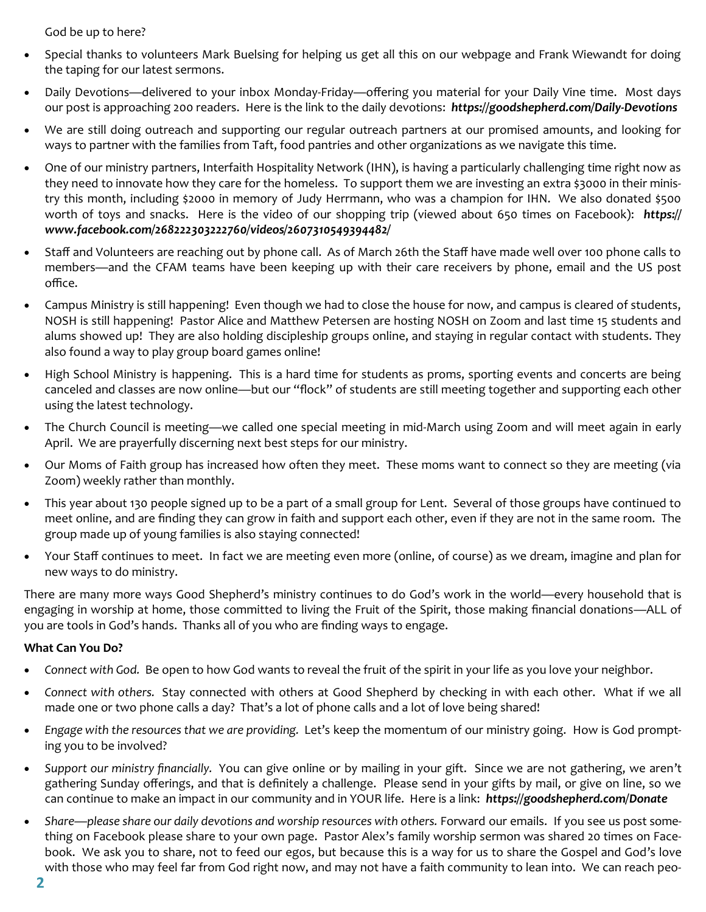God be up to here?

- Special thanks to volunteers Mark Buelsing for helping us get all this on our webpage and Frank Wiewandt for doing the taping for our latest sermons.
- Daily Devotions—delivered to your inbox Monday-Friday—offering you material for your Daily Vine time. Most days our post is approaching 200 readers. Here is the link to the daily devotions: *https://goodshepherd.com/Daily-Devotions*
- We are still doing outreach and supporting our regular outreach partners at our promised amounts, and looking for ways to partner with the families from Taft, food pantries and other organizations as we navigate this time.
- One of our ministry partners, Interfaith Hospitality Network (IHN), is having a particularly challenging time right now as they need to innovate how they care for the homeless. To support them we are investing an extra \$3000 in their ministry this month, including \$2000 in memory of Judy Herrmann, who was a champion for IHN. We also donated \$500 worth of toys and snacks. Here is the video of our shopping trip (viewed about 650 times on Facebook): *https:// www.facebook.com/268222303222760/videos/2607310549394482/*
- Staff and Volunteers are reaching out by phone call. As of March 26th the Staff have made well over 100 phone calls to members—and the CFAM teams have been keeping up with their care receivers by phone, email and the US post office.
- Campus Ministry is still happening! Even though we had to close the house for now, and campus is cleared of students, NOSH is still happening! Pastor Alice and Matthew Petersen are hosting NOSH on Zoom and last time 15 students and alums showed up! They are also holding discipleship groups online, and staying in regular contact with students. They also found a way to play group board games online!
- High School Ministry is happening. This is a hard time for students as proms, sporting events and concerts are being canceled and classes are now online—but our "flock" of students are still meeting together and supporting each other using the latest technology.
- The Church Council is meeting—we called one special meeting in mid-March using Zoom and will meet again in early April. We are prayerfully discerning next best steps for our ministry.
- Our Moms of Faith group has increased how often they meet. These moms want to connect so they are meeting (via Zoom) weekly rather than monthly.
- This year about 130 people signed up to be a part of a small group for Lent. Several of those groups have continued to meet online, and are finding they can grow in faith and support each other, even if they are not in the same room. The group made up of young families is also staying connected!
- Your Staff continues to meet. In fact we are meeting even more (online, of course) as we dream, imagine and plan for new ways to do ministry.

There are many more ways Good Shepherd's ministry continues to do God's work in the world—every household that is engaging in worship at home, those committed to living the Fruit of the Spirit, those making financial donations—ALL of you are tools in God's hands. Thanks all of you who are finding ways to engage.

#### **What Can You Do?**

- *Connect with God.* Be open to how God wants to reveal the fruit of the spirit in your life as you love your neighbor.
- *Connect with others.* Stay connected with others at Good Shepherd by checking in with each other. What if we all made one or two phone calls a day? That's a lot of phone calls and a lot of love being shared!
- *Engage with the resources that we are providing.* Let's keep the momentum of our ministry going. How is God prompting you to be involved?
- *Support our ministry financially.* You can give online or by mailing in your gift. Since we are not gathering, we aren't gathering Sunday offerings, and that is definitely a challenge. Please send in your gifts by mail, or give on line, so we can continue to make an impact in our community and in YOUR life. Here is a link: *https://goodshepherd.com/Donate*
- Share—please share our daily devotions and worship resources with others. Forward our emails. If you see us post something on Facebook please share to your own page. Pastor Alex's family worship sermon was shared 20 times on Facebook. We ask you to share, not to feed our egos, but because this is a way for us to share the Gospel and God's love with those who may feel far from God right now, and may not have a faith community to lean into. We can reach peo-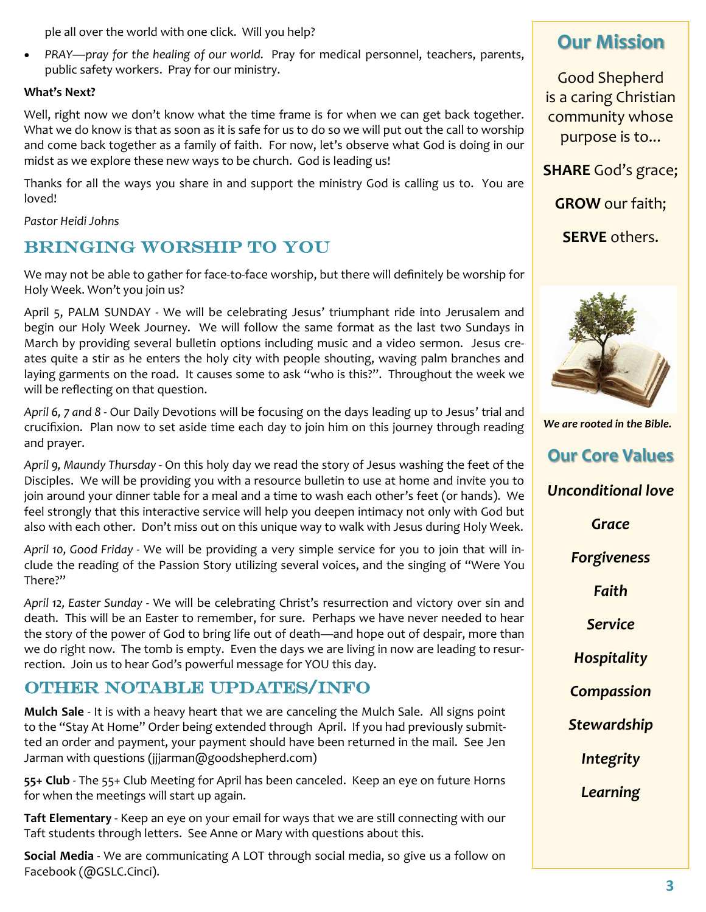ple all over the world with one click. Will you help?

• *PRAY—pray for the healing of our world.* Pray for medical personnel, teachers, parents, public safety workers. Pray for our ministry.

#### **What's Next?**

Well, right now we don't know what the time frame is for when we can get back together. What we do know is that as soon as it is safe for us to do so we will put out the call to worship and come back together as a family of faith. For now, let's observe what God is doing in our midst as we explore these new ways to be church. God is leading us!

Thanks for all the ways you share in and support the ministry God is calling us to. You are loved!

*Pastor Heidi Johns*

## Bringing Worship to you

We may not be able to gather for face-to-face worship, but there will definitely be worship for Holy Week. Won't you join us?

April 5, PALM SUNDAY - We will be celebrating Jesus' triumphant ride into Jerusalem and begin our Holy Week Journey. We will follow the same format as the last two Sundays in March by providing several bulletin options including music and a video sermon. Jesus creates quite a stir as he enters the holy city with people shouting, waving palm branches and laying garments on the road. It causes some to ask "who is this?". Throughout the week we will be reflecting on that question.

*April 6, 7 and 8* - Our Daily Devotions will be focusing on the days leading up to Jesus' trial and crucifixion. Plan now to set aside time each day to join him on this journey through reading and prayer.

*April 9, Maundy Thursday* - On this holy day we read the story of Jesus washing the feet of the Disciples. We will be providing you with a resource bulletin to use at home and invite you to join around your dinner table for a meal and a time to wash each other's feet (or hands). We feel strongly that this interactive service will help you deepen intimacy not only with God but also with each other. Don't miss out on this unique way to walk with Jesus during Holy Week.

*April 10, Good Friday* - We will be providing a very simple service for you to join that will include the reading of the Passion Story utilizing several voices, and the singing of "Were You There?"

*April 12, Easter Sunday* - We will be celebrating Christ's resurrection and victory over sin and death. This will be an Easter to remember, for sure. Perhaps we have never needed to hear the story of the power of God to bring life out of death—and hope out of despair, more than we do right now. The tomb is empty. Even the days we are living in now are leading to resurrection. Join us to hear God's powerful message for YOU this day.

## Other Notable updates/Info

**Mulch Sale** - It is with a heavy heart that we are canceling the Mulch Sale. All signs point to the "Stay At Home" Order being extended through April. If you had previously submitted an order and payment, your payment should have been returned in the mail. See Jen Jarman with questions (jjjarman@goodshepherd.com)

**55+ Club** - The 55+ Club Meeting for April has been canceled. Keep an eye on future Horns for when the meetings will start up again.

**Taft Elementary** - Keep an eye on your email for ways that we are still connecting with our Taft students through letters. See Anne or Mary with questions about this.

**Social Media** - We are communicating A LOT through social media, so give us a follow on Facebook (@GSLC.Cinci).

## **Our Mission**

Good Shepherd is a caring Christian community whose purpose is to...

**SHARE** God's grace;

**GROW** our faith;

**SERVE** others.



*We are rooted in the Bible.*

**Our Core Values**

*Unconditional love*

*Grace*

*Forgiveness*

*Faith*

*Service*

*Hospitality*

*Compassion*

*Stewardship*

*Integrity*

*Learning*